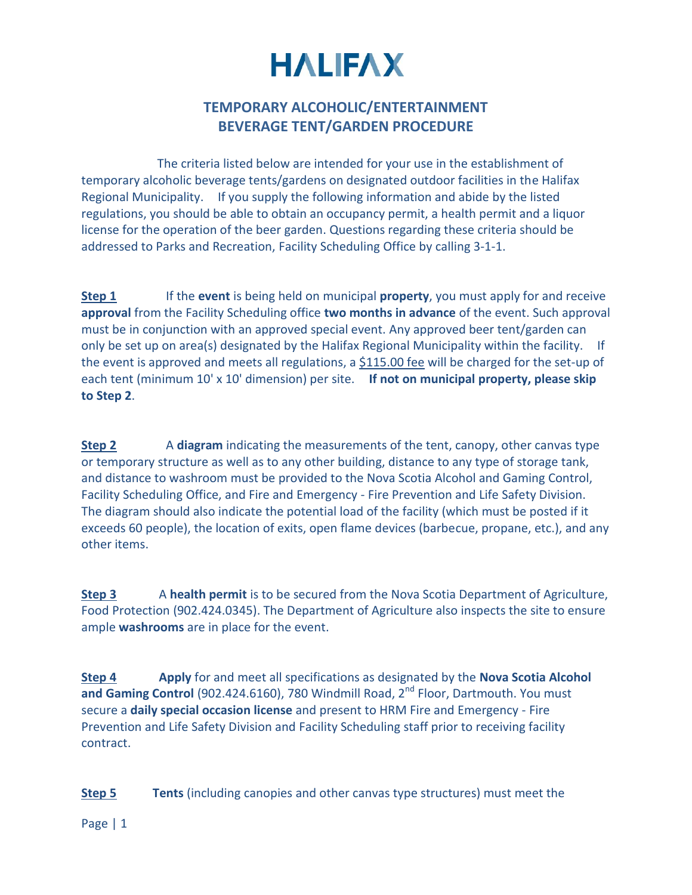## **HALIFAX**

## **TEMPORARY ALCOHOLIC/ENTERTAINMENT BEVERAGE TENT/GARDEN PROCEDURE**

 The criteria listed below are intended for your use in the establishment of temporary alcoholic beverage tents/gardens on designated outdoor facilities in the Halifax Regional Municipality. If you supply the following information and abide by the listed regulations, you should be able to obtain an occupancy permit, a health permit and a liquor license for the operation of the beer garden. Questions regarding these criteria should be addressed to Parks and Recreation, Facility Scheduling Office by calling 3-1-1.

**Step 1** If the **event** is being held on municipal **property**, you must apply for and receive **approval** from the Facility Scheduling office **two months in advance** of the event. Such approval must be in conjunction with an approved special event. Any approved beer tent/garden can only be set up on area(s) designated by the Halifax Regional Municipality within the facility. If the event is approved and meets all regulations, a \$115.00 fee will be charged for the set-up of each tent (minimum 10' x 10' dimension) per site. **If not on municipal property, please skip to Step 2**.

**Step 2** A **diagram** indicating the measurements of the tent, canopy, other canvas type or temporary structure as well as to any other building, distance to any type of storage tank, and distance to washroom must be provided to the Nova Scotia Alcohol and Gaming Control, Facility Scheduling Office, and Fire and Emergency - Fire Prevention and Life Safety Division. The diagram should also indicate the potential load of the facility (which must be posted if it exceeds 60 people), the location of exits, open flame devices (barbecue, propane, etc.), and any other items.

**Step 3** A **health permit** is to be secured from the Nova Scotia Department of Agriculture, Food Protection (902.424.0345). The Department of Agriculture also inspects the site to ensure ample **washrooms** are in place for the event.

**Step 4 Apply** for and meet all specifications as designated by the **Nova Scotia Alcohol**  and Gaming Control (902.424.6160), 780 Windmill Road, 2<sup>nd</sup> Floor, Dartmouth. You must secure a **daily special occasion license** and present to HRM Fire and Emergency - Fire Prevention and Life Safety Division and Facility Scheduling staff prior to receiving facility contract.

**Step 5 Tents** (including canopies and other canvas type structures) must meet the

Page | 1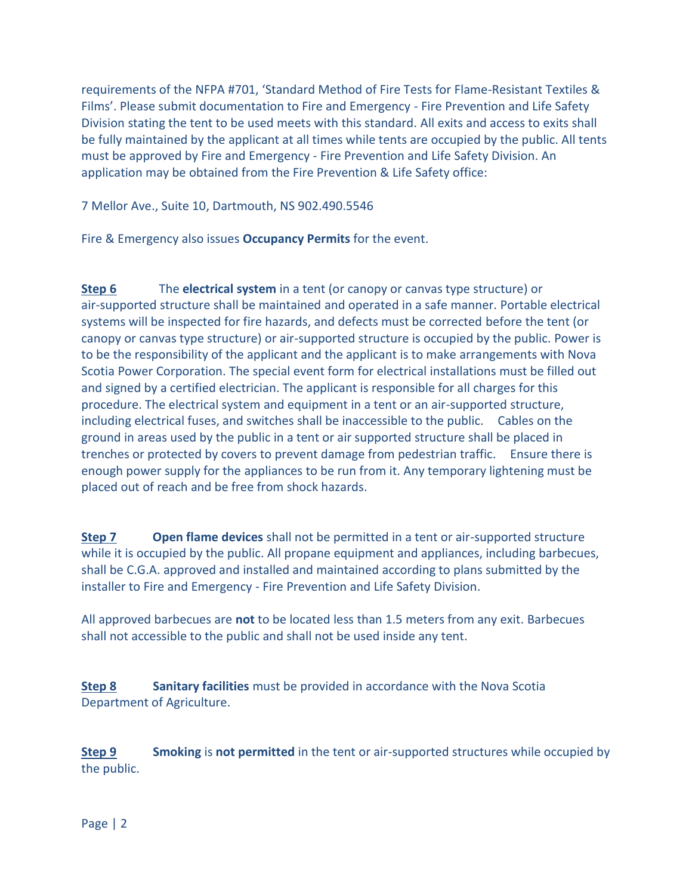requirements of the NFPA #701, 'Standard Method of Fire Tests for Flame-Resistant Textiles & Films'. Please submit documentation to Fire and Emergency - Fire Prevention and Life Safety Division stating the tent to be used meets with this standard. All exits and access to exits shall be fully maintained by the applicant at all times while tents are occupied by the public. All tents must be approved by Fire and Emergency - Fire Prevention and Life Safety Division. An application may be obtained from the Fire Prevention & Life Safety office:

7 Mellor Ave., Suite 10, Dartmouth, NS 902.490.5546

Fire & Emergency also issues **Occupancy Permits** for the event.

**Step 6** The **electrical system** in a tent (or canopy or canvas type structure) or air-supported structure shall be maintained and operated in a safe manner. Portable electrical systems will be inspected for fire hazards, and defects must be corrected before the tent (or canopy or canvas type structure) or air-supported structure is occupied by the public. Power is to be the responsibility of the applicant and the applicant is to make arrangements with Nova Scotia Power Corporation. The special event form for electrical installations must be filled out and signed by a certified electrician. The applicant is responsible for all charges for this procedure. The electrical system and equipment in a tent or an air-supported structure, including electrical fuses, and switches shall be inaccessible to the public. Cables on the ground in areas used by the public in a tent or air supported structure shall be placed in trenches or protected by covers to prevent damage from pedestrian traffic. Ensure there is enough power supply for the appliances to be run from it. Any temporary lightening must be placed out of reach and be free from shock hazards.

**Step 7** Open flame devices shall not be permitted in a tent or air-supported structure while it is occupied by the public. All propane equipment and appliances, including barbecues, shall be C.G.A. approved and installed and maintained according to plans submitted by the installer to Fire and Emergency - Fire Prevention and Life Safety Division.

All approved barbecues are **not** to be located less than 1.5 meters from any exit. Barbecues shall not accessible to the public and shall not be used inside any tent.

**Step 8 Sanitary facilities** must be provided in accordance with the Nova Scotia Department of Agriculture.

**Step 9 Smoking** is **not permitted** in the tent or air-supported structures while occupied by the public.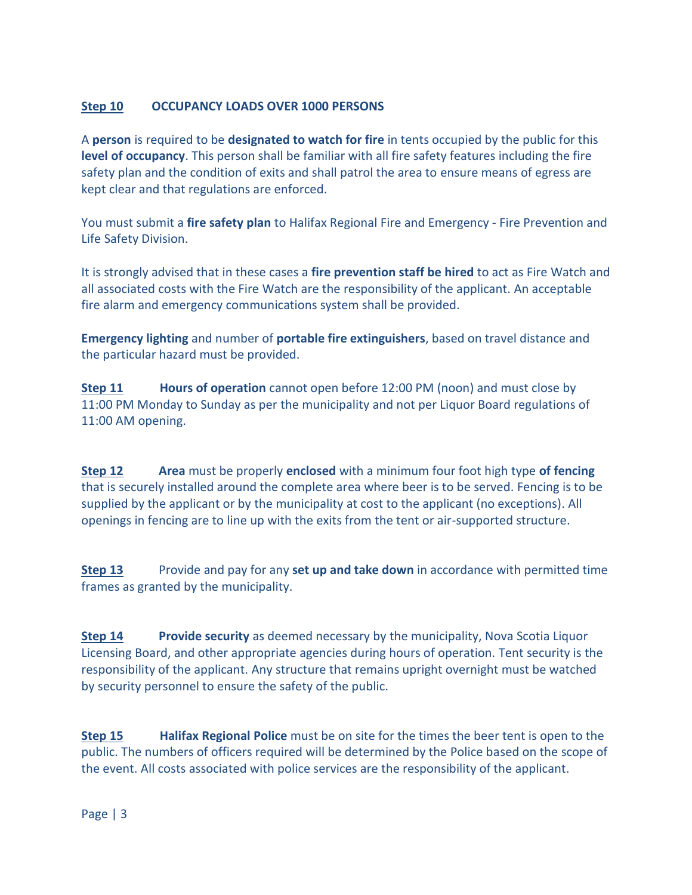## **Step 10 OCCUPANCY LOADS OVER 1000 PERSONS**

A **person** is required to be **designated to watch for fire** in tents occupied by the public for this **level of occupancy**. This person shall be familiar with all fire safety features including the fire safety plan and the condition of exits and shall patrol the area to ensure means of egress are kept clear and that regulations are enforced.

You must submit a **fire safety plan** to Halifax Regional Fire and Emergency - Fire Prevention and Life Safety Division.

It is strongly advised that in these cases a **fire prevention staff be hired** to act as Fire Watch and all associated costs with the Fire Watch are the responsibility of the applicant. An acceptable fire alarm and emergency communications system shall be provided.

**Emergency lighting** and number of **portable fire extinguishers**, based on travel distance and the particular hazard must be provided.

**Step 11 Hours of operation** cannot open before 12:00 PM (noon) and must close by 11:00 PM Monday to Sunday as per the municipality and not per Liquor Board regulations of 11:00 AM opening.

**Step 12 Area** must be properly **enclosed** with a minimum four foot high type **of fencing** that is securely installed around the complete area where beer is to be served. Fencing is to be supplied by the applicant or by the municipality at cost to the applicant (no exceptions). All openings in fencing are to line up with the exits from the tent or air-supported structure.

**Step 13** Provide and pay for any **set up and take down** in accordance with permitted time frames as granted by the municipality.

**Step 14 Provide security** as deemed necessary by the municipality, Nova Scotia Liquor Licensing Board, and other appropriate agencies during hours of operation. Tent security is the responsibility of the applicant. Any structure that remains upright overnight must be watched by security personnel to ensure the safety of the public.

**Step 15 Halifax Regional Police** must be on site for the times the beer tent is open to the public. The numbers of officers required will be determined by the Police based on the scope of the event. All costs associated with police services are the responsibility of the applicant.

Page | 3